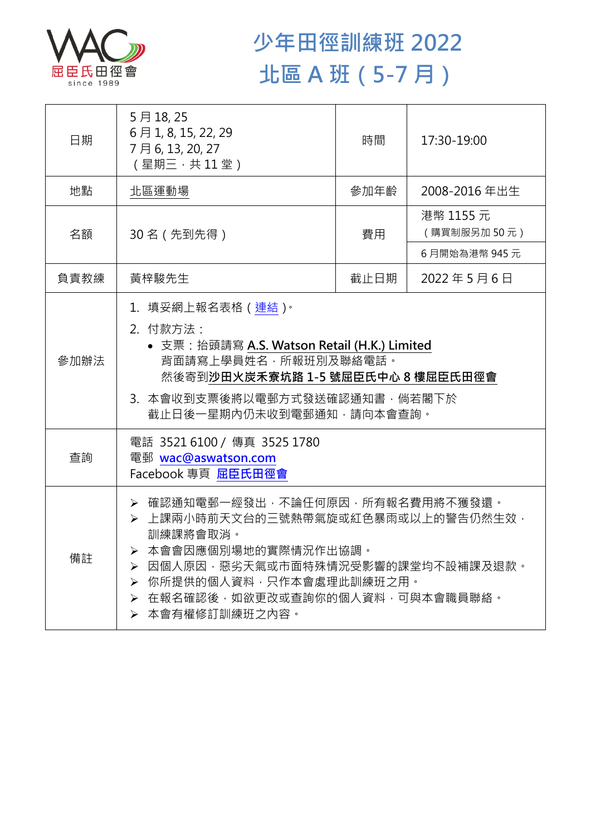

## **少年田徑訓練班 2022 北區 A 班(5-7 月)**

| 日期   | 5月18,25<br>6月1, 8, 15, 22, 29<br>7月6,13,20,27<br>(星期三·共11堂)                                                                                                                                                                                     | 時間   | 17:30-19:00              |  |
|------|-------------------------------------------------------------------------------------------------------------------------------------------------------------------------------------------------------------------------------------------------|------|--------------------------|--|
| 地點   | 北區運動場                                                                                                                                                                                                                                           | 參加年齡 | 2008-2016年出生             |  |
| 名額   | 30 名 (先到先得)                                                                                                                                                                                                                                     | 費用   | 港幣 1155 元<br>(購買制服另加50元) |  |
|      |                                                                                                                                                                                                                                                 |      | 6月開始為港幣 945元             |  |
| 負責教練 | 黃梓駿先生                                                                                                                                                                                                                                           | 截止日期 | 2022年5月6日                |  |
| 參加辦法 | 1.填妥網上報名表格(連結) <sup>。</sup><br>2. 付款方法:<br>• 支票: 抬頭請寫 A.S. Watson Retail (H.K.) Limited<br>背面請寫上學員姓名, 所報班別及聯絡電話。<br>然後寄到沙田火炭禾寮坑路 1-5 號屈臣氏中心 8 樓屈臣氏田徑會<br>3. 本會收到支票後將以電郵方式發送確認通知書,倘若閣下於<br>截止日後一星期內仍未收到電郵通知,請向本會查詢。                              |      |                          |  |
| 查詢   | 電話 35216100 / 傳真 3525 1780<br>電郵 wac@aswatson.com<br>Facebook 專頁 屈臣氏田徑會                                                                                                                                                                         |      |                          |  |
| 備註   | > 確認通知電郵一經發出,不論任何原因,所有報名費用將不獲發還。<br>▶ 上課兩小時前天文台的三號熱帶氣旋或紅色暴雨或以上的警告仍然生效,<br>訓練課將會取消。<br>本會會因應個別場地的實際情況作出協調。<br>因個人原因,惡劣天氣或市面特殊情況受影響的課堂均不設補課及退款。<br>➤<br>你所提供的個人資料,只作本會處理此訓練班之用。<br>➤<br>在報名確認後,如欲更改或查詢你的個人資料,可與本會職員聯絡。<br>➤<br>本會有權修訂訓練班之內容。<br>≻ |      |                          |  |